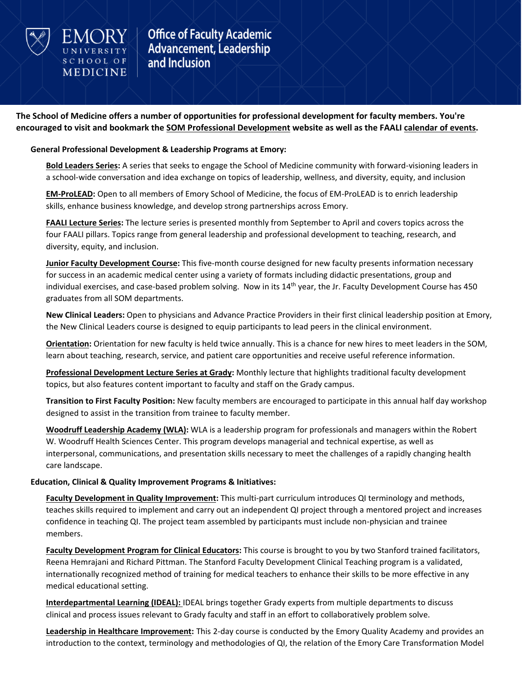

**SCHOOL OF** 

MEDICINE

**Office of Faculty Academic Advancement, Leadership** and Inclusion

**The School of Medicine offers a number of opportunities for professional development for faculty members. You're encouraged to visit and bookmark the [SOM Professional Development](https://med.emory.edu/about/faculty/faculty-development/index.html) website as well as the FAALI [calendar of events.](https://med.emory.edu/about/faculty/faculty-development/career-development/calendar.html)**

#### **General Professional Development & Leadership Programs at Emory:**

**[Bold Leaders Series:](https://med.emory.edu/about/faculty/faculty-development/faali/index.html)** A series that seeks to engage the School of Medicine community with forward-visioning leaders in a school-wide conversation and idea exchange on topics of leadership, wellness, and diversity, equity, and inclusion

**[EM-ProLEAD:](https://www.emoryhealthcare.org/careers/development-programs/em-prolead-program.html)** Open to all members of Emory School of Medicine, the focus of EM-ProLEAD is to enrich leadership skills, enhance business knowledge, and develop strong partnerships across Emory.

**[FAALI Lecture Series:](https://med.emory.edu/about/faculty/faculty-development/career-development/faali-lecture-series/index.html)** The lecture series is presented monthly from September to April and covers topics across the four FAALI pillars. Topics range from general leadership and professional development to teaching, research, and diversity, equity, and inclusion.

**[Junior Faculty Development Course:](https://secure.web.emory.edu/med/intranet/faculty_affairs_dev/jr-fac-dev-course.html)** This five-month course designed for new faculty presents information necessary for success in an academic medical center using a variety of formats including didactic presentations, group and individual exercises, and case-based problem solving. Now in its  $14<sup>th</sup>$  year, the Jr. Faculty Development Course has 450 graduates from all SOM departments.

**New Clinical Leaders:** Open to physicians and Advance Practice Providers in their first clinical leadership position at Emory, the New Clinical Leaders course is designed to equip participants to lead peers in the clinical environment.

**[Orientation:](https://med.emory.edu/about/faculty/faculty-development/career-development/new-faculty-orientation-and-resources/index.html)** Orientation for new faculty is held twice annually. This is a chance for new hires to meet leaders in the SOM, learn about teaching, research, service, and patient care opportunities and receive useful reference information.

**[Professional Development Lecture Series at Grady:](https://med.emory.edu/about/faculty/faculty-development/career-development/emory-at-grady-professional-development/emory-at-grady-professional-development-lecture-series/index.html)** Monthly lecture that highlights traditional faculty development topics, but also features content important to faculty and staff on the Grady campus.

**Transition to First Faculty Position:** New faculty members are encouraged to participate in this annual half day workshop designed to assist in the transition from trainee to faculty member.

**[Woodruff Leadership Academy \(WLA\):](http://whsc.emory.edu/wla/)** WLA is a leadership program for professionals and managers within the Robert W. Woodruff Health Sciences Center. This program develops managerial and technical expertise, as well as interpersonal, communications, and presentation skills necessary to meet the challenges of a rapidly changing health care landscape.

### **Education, Clinical & Quality Improvement Programs & Initiatives:**

**[Faculty Development in Quality Improvement:](https://med.emory.edu/about/faculty/faculty-development/clinical-care/index.html)** This multi-part curriculum introduces QI terminology and methods, teaches skills required to implement and carry out an independent QI project through a mentored project and increases confidence in teaching QI. The project team assembled by participants must include non-physician and trainee members.

**[Faculty Development Program for Clinical Educators:](https://inside.med.emory.edu/faculty_affairs_dev/grady-edu-course.html)** This course is brought to you by two Stanford trained facilitators, Reena Hemrajani and Richard Pittman. The Stanford Faculty Development Clinical Teaching program is a validated, internationally recognized method of training for medical teachers to enhance their skills to be more effective in any medical educational setting.

**[Interdepartmental Learning \(IDEAL\):](https://med.emory.edu/about/faculty/faculty-development/career-development/emory-at-grady-professional-development/index.html)** IDEAL brings together Grady experts from multiple departments to discuss clinical and process issues relevant to Grady faculty and staff in an effort to collaboratively problem solve.

**[Leadership in Healthcare Improvement:](https://med.emory.edu/about/faculty/faculty-development/clinical-care/index.html)** This 2-day course is conducted by the Emory Quality Academy and provides an introduction to the context, terminology and methodologies of QI, the relation of the Emory Care Transformation Model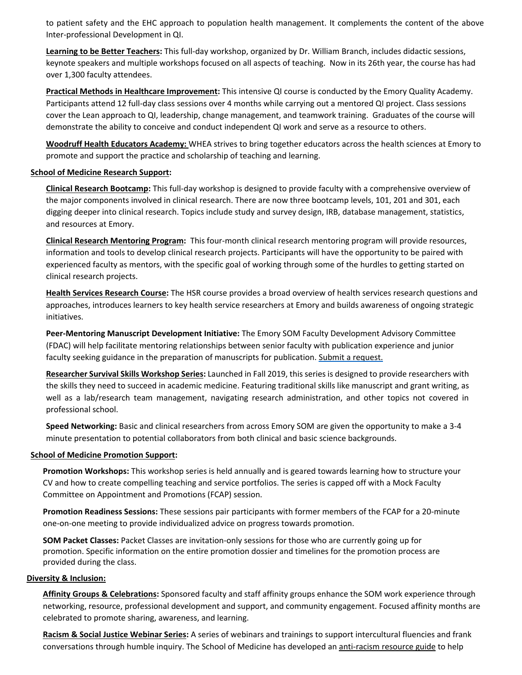to patient safety and the EHC approach to population health management. It complements the content of the above Inter-professional Development in QI.

**[Learning to be Better Teachers:](https://med.emory.edu/about/faculty/faculty-development/teaching/index.html)** This full-day workshop, organized by Dr. William Branch, includes didactic sessions, keynote speakers and multiple workshops focused on all aspects of teaching. Now in its 26th year, the course has had over 1,300 faculty attendees.

**[Practical Methods in Healthcare Improvement:](https://med.emory.edu/about/faculty/faculty-development/clinical-care/index.html)** This intensive QI course is conducted by the Emory Quality Academy. Participants attend 12 full-day class sessions over 4 months while carrying out a mentored QI project. Class sessions cover the Lean approach to QI, leadership, change management, and teamwork training. Graduates of the course will demonstrate the ability to conceive and conduct independent QI work and serve as a resource to others.

**[Woodruff Health Educators Academy:](http://whsc.emory.edu/education/whea/index.html)** WHEA strives to bring together educators across the health sciences at Emory to promote and support the practice and scholarship of teaching and learning.

# **[School of Medicine Research Support:](https://med.emory.edu/about/faculty/faculty-development/research/index.html)**

**[Clinical Research Bootcamp:](https://med.emory.edu/about/faculty/faculty-development/research/clinical-research-bootcamp/index.html)** This full-day workshop is designed to provide faculty with a comprehensive overview of the major components involved in clinical research. There are now three bootcamp levels, 101, 201 and 301, each digging deeper into clinical research. Topics include study and survey design, IRB, database management, statistics, and resources at Emory.

**[Clinical Research Mentoring Program:](https://inside.med.emory.edu/faculty_affairs_dev/grady-mentoring.html)** This four-month clinical research mentoring program will provide resources, information and tools to develop clinical research projects. Participants will have the opportunity to be paired with experienced faculty as mentors, with the specific goal of working through some of the hurdles to getting started on clinical research projects.

**[Health Services Research Course:](https://med.emory.edu/departments/medicine/research/centers-institutes/health-services/resources/hsr-course/index.html)** The HSR course provides a broad overview of health services research questions and approaches, introduces learners to key health service researchers at Emory and builds awareness of ongoing strategic initiatives.

**Peer-Mentoring Manuscript Development Initiative:** The Emory SOM Faculty Development Advisory Committee (FDAC) will help facilitate mentoring relationships between senior faculty with publication experience and junior faculty seeking guidance in the preparation of manuscripts for publication. [Submit a request.](https://www.surveymonkey.com/r/Y7MYSNX)

**[Researcher Survival Skills Workshop Series:](https://med.emory.edu/about/faculty/faculty-development/research/researcher-survival-skills/index.html)** Launched in Fall 2019, this series is designed to provide researchers with the skills they need to succeed in academic medicine. Featuring traditional skills like manuscript and grant writing, as well as a lab/research team management, navigating research administration, and other topics not covered in professional school.

**Speed Networking:** Basic and clinical researchers from across Emory SOM are given the opportunity to make a 3-4 minute presentation to potential collaborators from both clinical and basic science backgrounds.

### **[School of Medicine Promotion Support:](https://med.emory.edu/about/faculty/faculty-development/appointment-promotions-tenure/index.html)**

**Promotion Workshops:** This workshop series is held annually and is geared towards learning how to structure your CV and how to create compelling teaching and service portfolios. The series is capped off with a Mock Faculty Committee on Appointment and Promotions (FCAP) session.

**Promotion Readiness Sessions:** These sessions pair participants with former members of the FCAP for a 20-minute one-on-one meeting to provide individualized advice on progress towards promotion.

**SOM Packet Classes:** Packet Classes are invitation-only sessions for those who are currently going up for promotion. Specific information on the entire promotion dossier and timelines for the promotion process are provided during the class.

### **[Diversity & Inclusion:](https://med.emory.edu/about/diversity/index.html)**

**[Affinity Groups & Celebrations:](https://med.emory.edu/about/diversity/affinity/index.html)** Sponsored faculty and staff affinity groups enhance the SOM work experience through networking, resource, professional development and support, and community engagement. Focused affinity months are celebrated to promote sharing, awareness, and learning.

**[Racism & Social Justice Webinar Series:](https://med.emory.edu/about/diversity/webinar-video-archive.html)** A series of webinars and trainings to support intercultural fluencies and frank conversations through humble inquiry. The School of Medicine has developed an [anti-racism resource guide](https://med.emory.edu/about/diversity/anti-racism-guide.html) to help